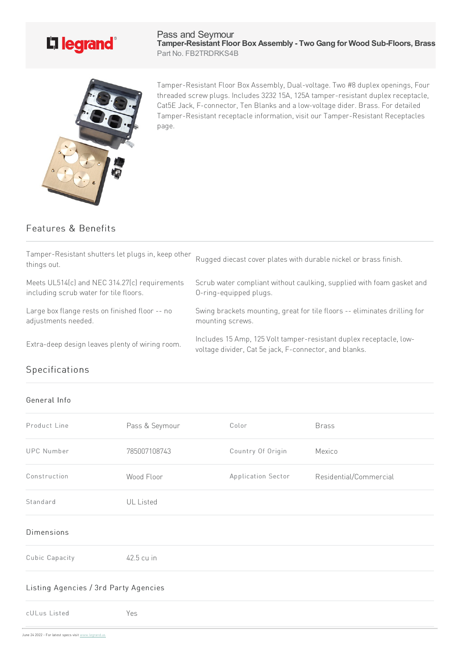

## Pass and Seymour **Tamper-Resistant Floor Box Assembly - Two Gang for Wood Sub-Floors, Brass** Part No. FB2TRDRKS4B



Tamper-Resistant Floor Box Assembly, Dual-voltage. Two #8 duplex openings, Four threaded screw plugs. Includes 3232 15A, 125A tamper-resistant duplex receptacle, Cat5E Jack, F-connector, Ten Blanks and a low-voltage dider. Brass. For detailed Tamper-Resistant receptacle information, visit our Tamper-Resistant Receptacles page.

## Features & Benefits

| Tamper-Resistant shutters let plugs in, keep other<br>things out. | Rugged diecast cover plates with durable nickel or brass finish.                                                             |
|-------------------------------------------------------------------|------------------------------------------------------------------------------------------------------------------------------|
| Meets UL514(c) and NEC 314.27(c) requirements                     | Scrub water compliant without caulking, supplied with foam gasket and                                                        |
| including scrub water for tile floors.                            | O-ring-equipped plugs.                                                                                                       |
| Large box flange rests on finished floor -- no                    | Swing brackets mounting, great for tile floors -- eliminates drilling for                                                    |
| adjustments needed.                                               | mounting screws.                                                                                                             |
| Extra-deep design leaves plenty of wiring room.                   | Includes 15 Amp, 125 Volt tamper-resistant duplex receptacle, low-<br>voltage divider, Cat 5e jack, F-connector, and blanks. |

## Specifications

## General Info

| Product Line                          | Pass & Seymour   | Color              | <b>Brass</b>           |  |
|---------------------------------------|------------------|--------------------|------------------------|--|
| <b>UPC Number</b>                     | 785007108743     | Country Of Origin  | Mexico                 |  |
| Construction                          | Wood Floor       | Application Sector | Residential/Commercial |  |
| Standard                              | <b>UL</b> Listed |                    |                        |  |
| <b>Dimensions</b>                     |                  |                    |                        |  |
| Cubic Capacity                        | 42.5 cu in       |                    |                        |  |
| Listing Agencies / 3rd Party Agencies |                  |                    |                        |  |
| cULus Listed                          | Yes              |                    |                        |  |